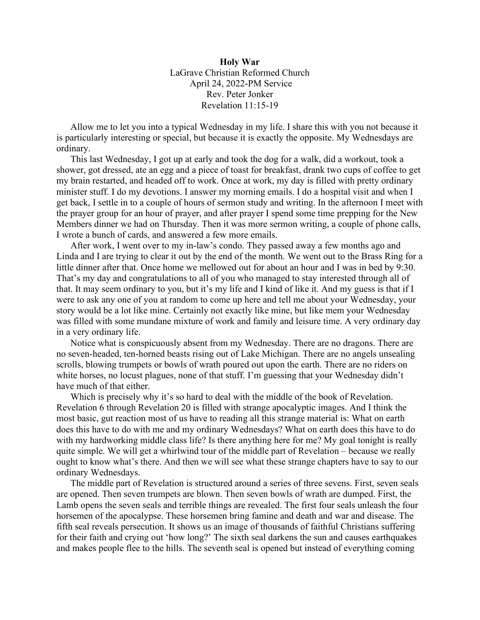**Holy War** LaGrave Christian Reformed Church April 24, 2022-PM Service Rev. Peter Jonker Revelation 11:15-19

Allow me to let you into a typical Wednesday in my life. I share this with you not because it is particularly interesting or special, but because it is exactly the opposite. My Wednesdays are ordinary.

This last Wednesday, I got up at early and took the dog for a walk, did a workout, took a shower, got dressed, ate an egg and a piece of toast for breakfast, drank two cups of coffee to get my brain restarted, and headed off to work. Once at work, my day is filled with pretty ordinary minister stuff. I do my devotions. I answer my morning emails. I do a hospital visit and when I get back, I settle in to a couple of hours of sermon study and writing. In the afternoon I meet with the prayer group for an hour of prayer, and after prayer I spend some time prepping for the New Members dinner we had on Thursday. Then it was more sermon writing, a couple of phone calls, I wrote a bunch of cards, and answered a few more emails.

After work, I went over to my in-law's condo. They passed away a few months ago and Linda and I are trying to clear it out by the end of the month. We went out to the Brass Ring for a little dinner after that. Once home we mellowed out for about an hour and I was in bed by 9:30. That's my day and congratulations to all of you who managed to stay interested through all of that. It may seem ordinary to you, but it's my life and I kind of like it. And my guess is that if I were to ask any one of you at random to come up here and tell me about your Wednesday, your story would be a lot like mine. Certainly not exactly like mine, but like mem your Wednesday was filled with some mundane mixture of work and family and leisure time. A very ordinary day in a very ordinary life.

Notice what is conspicuously absent from my Wednesday. There are no dragons. There are no seven-headed, ten-horned beasts rising out of Lake Michigan. There are no angels unsealing scrolls, blowing trumpets or bowls of wrath poured out upon the earth. There are no riders on white horses, no locust plagues, none of that stuff. I'm guessing that your Wednesday didn't have much of that either.

Which is precisely why it's so hard to deal with the middle of the book of Revelation. Revelation 6 through Revelation 20 is filled with strange apocalyptic images. And I think the most basic, gut reaction most of us have to reading all this strange material is: What on earth does this have to do with me and my ordinary Wednesdays? What on earth does this have to do with my hardworking middle class life? Is there anything here for me? My goal tonight is really quite simple. We will get a whirlwind tour of the middle part of Revelation – because we really ought to know what's there. And then we will see what these strange chapters have to say to our ordinary Wednesdays.

The middle part of Revelation is structured around a series of three sevens. First, seven seals are opened. Then seven trumpets are blown. Then seven bowls of wrath are dumped. First, the Lamb opens the seven seals and terrible things are revealed. The first four seals unleash the four horsemen of the apocalypse. These horsemen bring famine and death and war and disease. The fifth seal reveals persecution. It shows us an image of thousands of faithful Christians suffering for their faith and crying out 'how long?' The sixth seal darkens the sun and causes earthquakes and makes people flee to the hills. The seventh seal is opened but instead of everything coming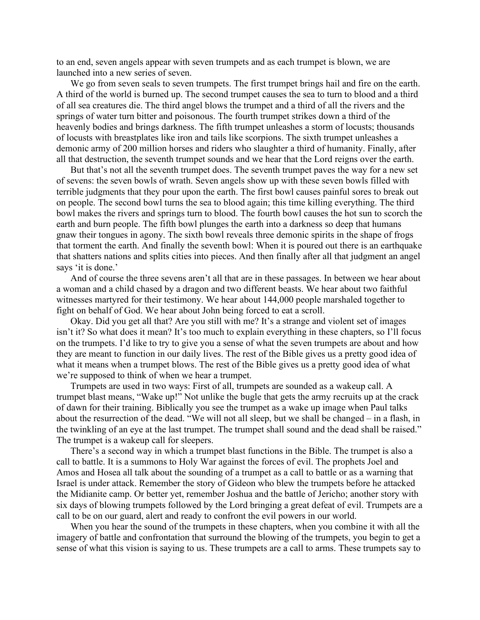to an end, seven angels appear with seven trumpets and as each trumpet is blown, we are launched into a new series of seven.

We go from seven seals to seven trumpets. The first trumpet brings hail and fire on the earth. A third of the world is burned up. The second trumpet causes the sea to turn to blood and a third of all sea creatures die. The third angel blows the trumpet and a third of all the rivers and the springs of water turn bitter and poisonous. The fourth trumpet strikes down a third of the heavenly bodies and brings darkness. The fifth trumpet unleashes a storm of locusts; thousands of locusts with breastplates like iron and tails like scorpions. The sixth trumpet unleashes a demonic army of 200 million horses and riders who slaughter a third of humanity. Finally, after all that destruction, the seventh trumpet sounds and we hear that the Lord reigns over the earth.

But that's not all the seventh trumpet does. The seventh trumpet paves the way for a new set of sevens: the seven bowls of wrath. Seven angels show up with these seven bowls filled with terrible judgments that they pour upon the earth. The first bowl causes painful sores to break out on people. The second bowl turns the sea to blood again; this time killing everything. The third bowl makes the rivers and springs turn to blood. The fourth bowl causes the hot sun to scorch the earth and burn people. The fifth bowl plunges the earth into a darkness so deep that humans gnaw their tongues in agony. The sixth bowl reveals three demonic spirits in the shape of frogs that torment the earth. And finally the seventh bowl: When it is poured out there is an earthquake that shatters nations and splits cities into pieces. And then finally after all that judgment an angel says 'it is done.'

And of course the three sevens aren't all that are in these passages. In between we hear about a woman and a child chased by a dragon and two different beasts. We hear about two faithful witnesses martyred for their testimony. We hear about 144,000 people marshaled together to fight on behalf of God. We hear about John being forced to eat a scroll.

Okay. Did you get all that? Are you still with me? It's a strange and violent set of images isn't it? So what does it mean? It's too much to explain everything in these chapters, so I'll focus on the trumpets. I'd like to try to give you a sense of what the seven trumpets are about and how they are meant to function in our daily lives. The rest of the Bible gives us a pretty good idea of what it means when a trumpet blows. The rest of the Bible gives us a pretty good idea of what we're supposed to think of when we hear a trumpet.

Trumpets are used in two ways: First of all, trumpets are sounded as a wakeup call. A trumpet blast means, "Wake up!" Not unlike the bugle that gets the army recruits up at the crack of dawn for their training. Biblically you see the trumpet as a wake up image when Paul talks about the resurrection of the dead. "We will not all sleep, but we shall be changed – in a flash, in the twinkling of an eye at the last trumpet. The trumpet shall sound and the dead shall be raised." The trumpet is a wakeup call for sleepers.

There's a second way in which a trumpet blast functions in the Bible. The trumpet is also a call to battle. It is a summons to Holy War against the forces of evil. The prophets Joel and Amos and Hosea all talk about the sounding of a trumpet as a call to battle or as a warning that Israel is under attack. Remember the story of Gideon who blew the trumpets before he attacked the Midianite camp. Or better yet, remember Joshua and the battle of Jericho; another story with six days of blowing trumpets followed by the Lord bringing a great defeat of evil. Trumpets are a call to be on our guard, alert and ready to confront the evil powers in our world.

When you hear the sound of the trumpets in these chapters, when you combine it with all the imagery of battle and confrontation that surround the blowing of the trumpets, you begin to get a sense of what this vision is saying to us. These trumpets are a call to arms. These trumpets say to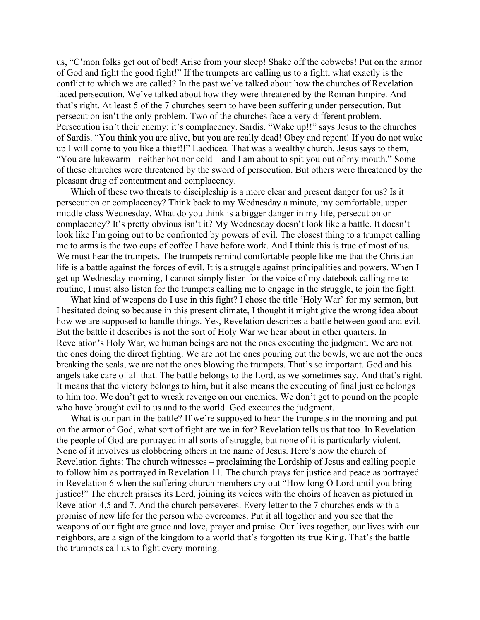us, "C'mon folks get out of bed! Arise from your sleep! Shake off the cobwebs! Put on the armor of God and fight the good fight!" If the trumpets are calling us to a fight, what exactly is the conflict to which we are called? In the past we've talked about how the churches of Revelation faced persecution. We've talked about how they were threatened by the Roman Empire. And that's right. At least 5 of the 7 churches seem to have been suffering under persecution. But persecution isn't the only problem. Two of the churches face a very different problem. Persecution isn't their enemy; it's complacency. Sardis. "Wake up!!" says Jesus to the churches of Sardis. "You think you are alive, but you are really dead! Obey and repent! If you do not wake up I will come to you like a thief!!" Laodicea. That was a wealthy church. Jesus says to them, "You are lukewarm - neither hot nor cold – and I am about to spit you out of my mouth." Some of these churches were threatened by the sword of persecution. But others were threatened by the pleasant drug of contentment and complacency.

Which of these two threats to discipleship is a more clear and present danger for us? Is it persecution or complacency? Think back to my Wednesday a minute, my comfortable, upper middle class Wednesday. What do you think is a bigger danger in my life, persecution or complacency? It's pretty obvious isn't it? My Wednesday doesn't look like a battle. It doesn't look like I'm going out to be confronted by powers of evil. The closest thing to a trumpet calling me to arms is the two cups of coffee I have before work. And I think this is true of most of us. We must hear the trumpets. The trumpets remind comfortable people like me that the Christian life is a battle against the forces of evil. It is a struggle against principalities and powers. When I get up Wednesday morning, I cannot simply listen for the voice of my datebook calling me to routine, I must also listen for the trumpets calling me to engage in the struggle, to join the fight.

What kind of weapons do I use in this fight? I chose the title 'Holy War' for my sermon, but I hesitated doing so because in this present climate, I thought it might give the wrong idea about how we are supposed to handle things. Yes, Revelation describes a battle between good and evil. But the battle it describes is not the sort of Holy War we hear about in other quarters. In Revelation's Holy War, we human beings are not the ones executing the judgment. We are not the ones doing the direct fighting. We are not the ones pouring out the bowls, we are not the ones breaking the seals, we are not the ones blowing the trumpets. That's so important. God and his angels take care of all that. The battle belongs to the Lord, as we sometimes say. And that's right. It means that the victory belongs to him, but it also means the executing of final justice belongs to him too. We don't get to wreak revenge on our enemies. We don't get to pound on the people who have brought evil to us and to the world. God executes the judgment.

What is our part in the battle? If we're supposed to hear the trumpets in the morning and put on the armor of God, what sort of fight are we in for? Revelation tells us that too. In Revelation the people of God are portrayed in all sorts of struggle, but none of it is particularly violent. None of it involves us clobbering others in the name of Jesus. Here's how the church of Revelation fights: The church witnesses – proclaiming the Lordship of Jesus and calling people to follow him as portrayed in Revelation 11. The church prays for justice and peace as portrayed in Revelation 6 when the suffering church members cry out "How long O Lord until you bring justice!" The church praises its Lord, joining its voices with the choirs of heaven as pictured in Revelation 4,5 and 7. And the church perseveres. Every letter to the 7 churches ends with a promise of new life for the person who overcomes. Put it all together and you see that the weapons of our fight are grace and love, prayer and praise. Our lives together, our lives with our neighbors, are a sign of the kingdom to a world that's forgotten its true King. That's the battle the trumpets call us to fight every morning.